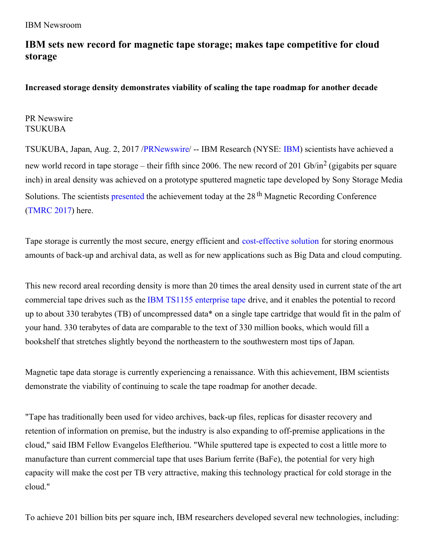## **IBM sets new record for magnetic tape storage; makes tape competitive for cloud storage**

**Increased storage density demonstrates viability of scaling the tape roadmap for another decade**

PR Newswire TSUKUBA

TSUKUBA, Japan, Aug. 2, 2017 [/PRNewswire](http://www.prnewswire.com/)/ -- IBM Research (NYSE: [IBM\)](http://www.ibm.com/investor) scientists have achieved a new world record in tape storage – their fifth since 2006. The new record of 201 Gb/in<sup>2</sup> (gigabits per square inch) in areal density was achieved on a prototype sputtered magnetic tape developed by Sony Storage Media Solutions. The scientists [presented](https://doi.org/10.1109/TMAG.2017.2727822) the achievement today at the 28<sup>th</sup> Magnetic Recording Conference [\(TMRC](http://www.nims.go.jp/mmu/tmrc2017/program.html) 2017) here.

Tape storage is currently the most secure, energy efficient and [cost-effective](https://www.ibm.com/blogs/systems/tale-of-the-tape-the-lowest-cost-storage-media/) solution for storing enormous amounts of back-up and archival data, as well as for new applications such as Big Data and cloud computing.

This new record areal recording density is more than 20 times the areal density used in current state of the art commercial tape drives such as the IBM TS1155 [enterprise](http://www-01.ibm.com/common/ssi/ShowDoc.wss?docURL=/common/ssi/rep_ca/8/897/ENUS117-038/index.html&lang=en&request_locale=en) tape drive, and it enables the potential to record up to about 330 terabytes (TB) of uncompressed data\* on a single tape cartridge that would fit in the palm of your hand. 330 terabytes of data are comparable to the text of 330 million books, which would fill a bookshelf that stretches slightly beyond the northeastern to the southwestern most tips of Japan.

Magnetic tape data storage is currently experiencing a renaissance. With this achievement, IBM scientists demonstrate the viability of continuing to scale the tape roadmap for another decade.

"Tape has traditionally been used for video archives, back-up files, replicas for disaster recovery and retention of information on premise, but the industry is also expanding to off-premise applications in the cloud," said IBM Fellow Evangelos Eleftheriou. "While sputtered tape is expected to cost a little more to manufacture than current commercial tape that uses Barium ferrite (BaFe), the potential for very high capacity will make the cost per TB very attractive, making this technology practical for cold storage in the cloud."

To achieve 201 billion bits per square inch, IBM researchers developed several new technologies, including: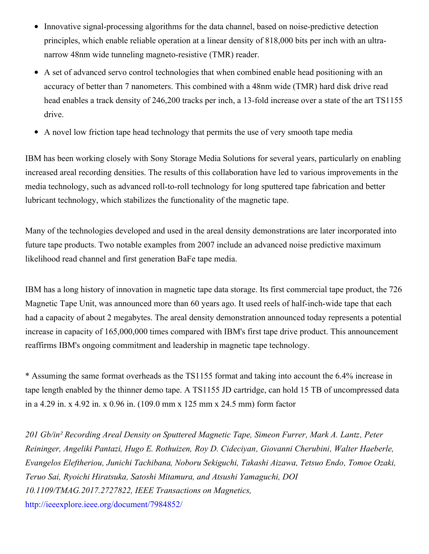- Innovative signal-processing algorithms for the data channel, based on noise-predictive detection principles, which enable reliable operation at a linear density of 818,000 bits per inch with an ultranarrow 48nm wide tunneling magneto-resistive (TMR) reader.
- A set of advanced servo control technologies that when combined enable head positioning with an accuracy of better than 7 nanometers. This combined with a 48nm wide (TMR) hard disk drive read head enables a track density of 246,200 tracks per inch, a 13-fold increase over a state of the art TS1155 drive.
- A novel low friction tape head technology that permits the use of very smooth tape media

IBM has been working closely with Sony Storage Media Solutions for several years, particularly on enabling increased areal recording densities. The results of this collaboration have led to various improvements in the media technology, such as advanced roll-to-roll technology for long sputtered tape fabrication and better lubricant technology, which stabilizes the functionality of the magnetic tape.

Many of the technologies developed and used in the areal density demonstrations are later incorporated into future tape products. Two notable examples from 2007 include an advanced noise predictive maximum likelihood read channel and first generation BaFe tape media.

IBM has a long history of innovation in magnetic tape data storage. Its first commercial tape product, the 726 Magnetic Tape Unit, was announced more than 60 years ago. It used reels of half-inch-wide tape that each had a capacity of about 2 megabytes. The areal density demonstration announced today represents a potential increase in capacity of 165,000,000 times compared with IBM's first tape drive product. This announcement reaffirms IBM's ongoing commitment and leadership in magnetic tape technology.

\* Assuming the same format overheads as the TS1155 format and taking into account the 6.4% increase in tape length enabled by the thinner demo tape. A TS1155 JD cartridge, can hold 15 TB of uncompressed data in a 4.29 in. x 4.92 in. x 0.96 in. (109.0 mm x 125 mm x 24.5 mm) form factor

*201 Gb/in² Recording Areal Density on Sputtered Magnetic Tape, Simeon Furrer, Mark A. Lantz, Peter Reininger, Angeliki Pantazi, Hugo E. Rothuizen, Roy D. Cideciyan, Giovanni Cherubini, Walter Haeberle, Evangelos Eleftheriou, Junichi Tachibana, Noboru Sekiguchi, Takashi Aizawa, Tetsuo Endo, Tomoe Ozaki, Teruo Sai, Ryoichi Hiratsuka, Satoshi Mitamura, and Atsushi Yamaguchi, DOI 10.1109/TMAG.2017.2727822, IEEE Transactions on Magnetics,* <http://ieeexplore.ieee.org/document/7984852/>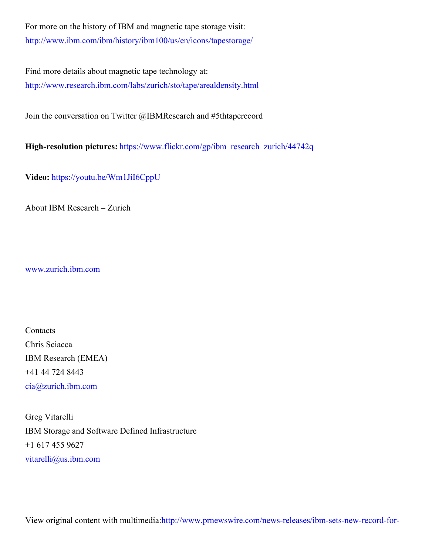For more on the history of IBM and magnetic tape storage visit: <http://www.ibm.com/ibm/history/ibm100/us/en/icons/tapestorage/>

Find more details about magnetic tape technology at: <http://www.research.ibm.com/labs/zurich/sto/tape/arealdensity.html>

Join the conversation on Twitter @IBMResearch and #5thtaperecord

**High-resolution pictures:** [https://www.flickr.com/gp/ibm\\_research\\_zurich/44742q](https://www.flickr.com/gp/ibm_research_zurich/44742q)

**Video:** <https://youtu.be/Wm1JiI6CppU>

About IBM Research – Zurich

[www.zurich.ibm.com](http://www.zurich.ibm.com/)

Contacts Chris Sciacca IBM Research (EMEA) +41 44 724 8443 [cia@zurich.ibm.com](mailto:cia@zurich.ibm.com)

Greg Vitarelli IBM Storage and Software Defined Infrastructure +1 617 455 9627 [vitarelli@us.ibm.com](mailto:vitarelli@us.ibm.com)

View original content with [multimedia:http://www.prnewswire.com/news-releases/ibm-sets-new-record-for-](http://www.prnewswire.com/news-releases/ibm-sets-new-record-for-magnetic-tape-storage-makes-tape-competitive-for-cloud-storage-300498208.html)